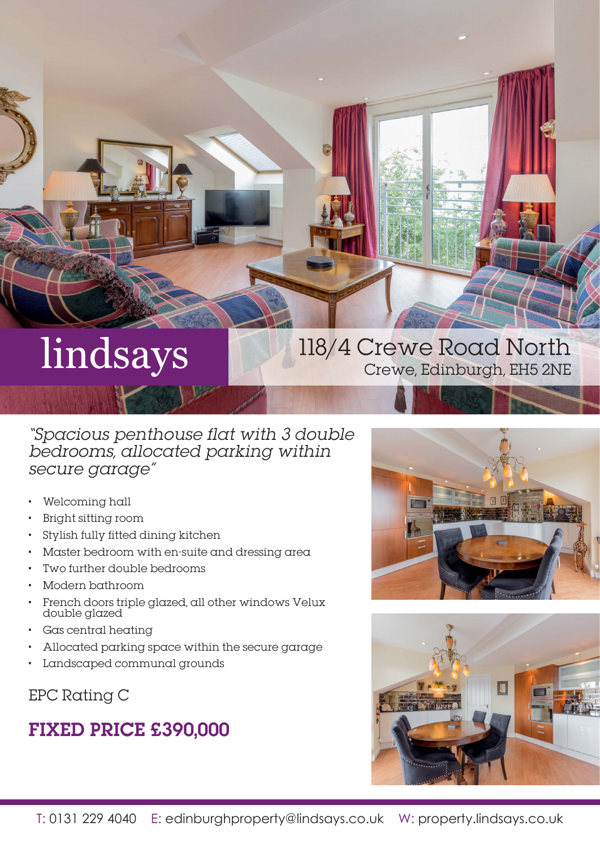# lindsays

# 118/4 Crewe Road North Crewe, Edinburgh, EH5 2NE

## "Spacious penthouse flat with 3 double bedrooms, allocated parking within secure garage"

- Welcoming hall
- Bright sitting room
- Stylish fully fitted dining kitchen
- Master bedroom with en-suite and dressing area
- Two further double bedrooms
- Modern bathroom
- French doors triple glazed, all other windows Velux double glazed
- Gas central heating
- Allocated parking space within the secure garage
- Landscaped communal grounds

## EPC Rating C

## FIXED PRICE £390,000